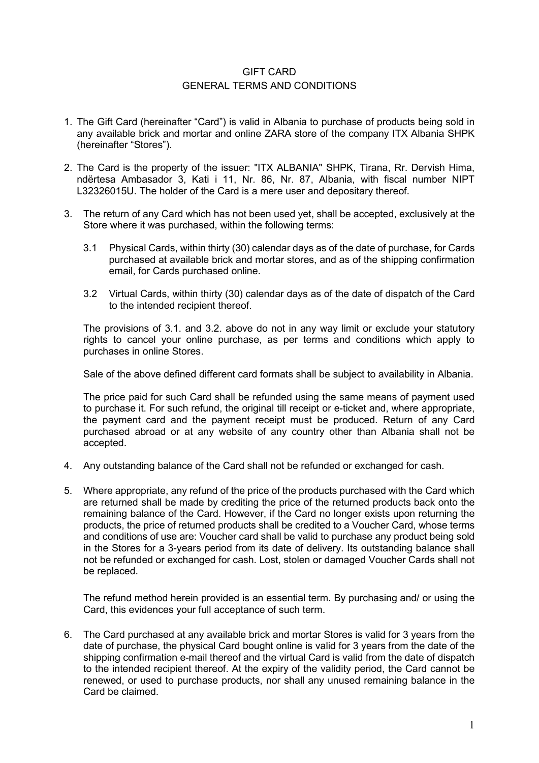## GIFT CARD GENERAL TERMS AND CONDITIONS

- 1. The Gift Card (hereinafter "Card") is valid in Albania to purchase of products being sold in any available brick and mortar and online ZARA store of the company ITX Albania SHPK (hereinafter "Stores").
- 2. The Card is the property of the issuer: "ITX ALBANIA" SHPK, Tirana, Rr. Dervish Hima, ndërtesa Ambasador 3, Kati i 11, Nr. 86, Nr. 87, Albania, with fiscal number NIPT L32326015U. The holder of the Card is a mere user and depositary thereof.
- 3. The return of any Card which has not been used yet, shall be accepted, exclusively at the Store where it was purchased, within the following terms:
	- 3.1 Physical Cards, within thirty (30) calendar days as of the date of purchase, for Cards purchased at available brick and mortar stores, and as of the shipping confirmation email, for Cards purchased online.
	- 3.2 Virtual Cards, within thirty (30) calendar days as of the date of dispatch of the Card to the intended recipient thereof.

The provisions of 3.1. and 3.2. above do not in any way limit or exclude your statutory rights to cancel your online purchase, as per terms and conditions which apply to purchases in online Stores.

Sale of the above defined different card formats shall be subject to availability in Albania.

The price paid for such Card shall be refunded using the same means of payment used to purchase it. For such refund, the original till receipt or e-ticket and, where appropriate, the payment card and the payment receipt must be produced. Return of any Card purchased abroad or at any website of any country other than Albania shall not be accepted.

- 4. Any outstanding balance of the Card shall not be refunded or exchanged for cash.
- 5. Where appropriate, any refund of the price of the products purchased with the Card which are returned shall be made by crediting the price of the returned products back onto the remaining balance of the Card. However, if the Card no longer exists upon returning the products, the price of returned products shall be credited to a Voucher Card, whose terms and conditions of use are: Voucher card shall be valid to purchase any product being sold in the Stores for a 3-years period from its date of delivery. Its outstanding balance shall not be refunded or exchanged for cash. Lost, stolen or damaged Voucher Cards shall not be replaced.

The refund method herein provided is an essential term. By purchasing and/ or using the Card, this evidences your full acceptance of such term.

6. The Card purchased at any available brick and mortar Stores is valid for 3 years from the date of purchase, the physical Card bought online is valid for 3 years from the date of the shipping confirmation e-mail thereof and the virtual Card is valid from the date of dispatch to the intended recipient thereof. At the expiry of the validity period, the Card cannot be renewed, or used to purchase products, nor shall any unused remaining balance in the Card be claimed.